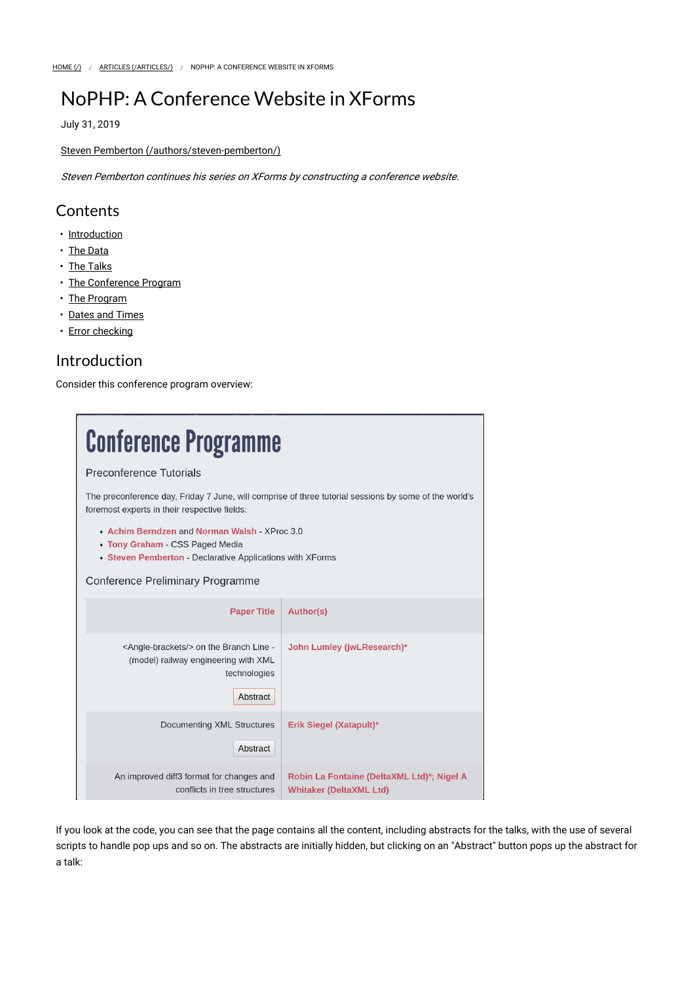# NoPHP: A Conference Website in XForms

July 31, 2019

### Steven Pemberton (/authors/steven-pemberton/)

Steven Pemberton continues his series on XForms by constructing a conference website.

### **Contents**

- Introduction
- The Data
- The Talks
- The Conference Program
- The Program
- Dates and Times
- Error checking

## Introduction

Consider this conference program overview:

| <b>Conference Programme</b>                                                                                                                           |                                                                              |  |
|-------------------------------------------------------------------------------------------------------------------------------------------------------|------------------------------------------------------------------------------|--|
| Preconference Tutorials                                                                                                                               |                                                                              |  |
| The preconference day, Friday 7 June, will comprise of three tutorial sessions by some of the world's<br>foremost experts in their respective fields: |                                                                              |  |
| • Achim Berndzen and Norman Walsh - XProc 3.0<br>• Tony Graham - CSS Paged Media<br>• Steven Pemberton - Declarative Applications with XForms         |                                                                              |  |
| Conference Preliminary Programme                                                                                                                      |                                                                              |  |
| <b>Paper Title</b>                                                                                                                                    | <b>Author(s)</b>                                                             |  |
| <angle-brackets></angle-brackets> on the Branch Line -<br>(model) railway engineering with XML<br>technologies<br>Abstract                            | John Lumley (jwLResearch)*                                                   |  |
| Documenting XML Structures<br>Abstract                                                                                                                | Erik Siegel (Xatapult)*                                                      |  |
| An improved diff3 format for changes and<br>conflicts in tree structures                                                                              | Robin La Fontaine (DeltaXML Ltd)*; Nigel A<br><b>Whitaker (DeltaXML Ltd)</b> |  |

If you look at the code, you can see that the page contains all the content, including abstracts for the talks, with the use of several scripts to handle pop ups and so on. The abstracts are initially hidden, but clicking on an "Abstract" button pops up the abstract for a talk: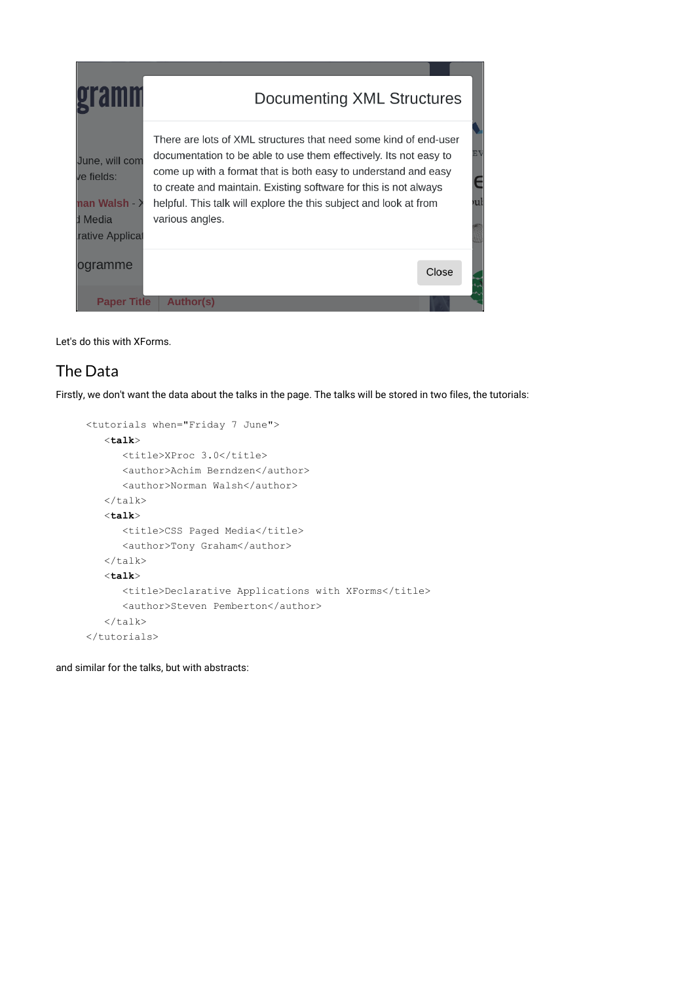| <b>Tam</b>                                                                | Documenting XML Structures                                                                                                                                                                                                                                                                                                                                          |       |         |
|---------------------------------------------------------------------------|---------------------------------------------------------------------------------------------------------------------------------------------------------------------------------------------------------------------------------------------------------------------------------------------------------------------------------------------------------------------|-------|---------|
| June, will com<br>ve fields:<br>nan Walsh →<br>d Media<br>rative Applical | There are lots of XML structures that need some kind of end-user<br>documentation to be able to use them effectively. Its not easy to<br>come up with a format that is both easy to understand and easy<br>to create and maintain. Existing software for this is not always<br>helpful. This talk will explore the this subject and look at from<br>various angles. |       | E١<br>υ |
| ogramme                                                                   |                                                                                                                                                                                                                                                                                                                                                                     | Close |         |
| <b>Paper Title</b>                                                        | <b>Author(s)</b>                                                                                                                                                                                                                                                                                                                                                    |       |         |

Let's do this with XForms.

## The Data

Firstly, we don't want the data about the talks in the page. The talks will be stored in two files, the tutorials:

```
<tutorials when="Friday 7 June"> 
    <talk>
      <title>XProc 3.0</title>
       <author>Achim Berndzen</author> 
       <author>Norman Walsh</author> 
   \langle/talk>
    <talk>
      <title>CSS Paged Media</title>
       <author>Tony Graham</author> 
   \langle/talk>
    <talk>
       <title>Declarative Applications with XForms</title> 
       <author>Steven Pemberton</author> 
   \langle/talk>
</tutorials>
```
and similar for the talks, but with abstracts: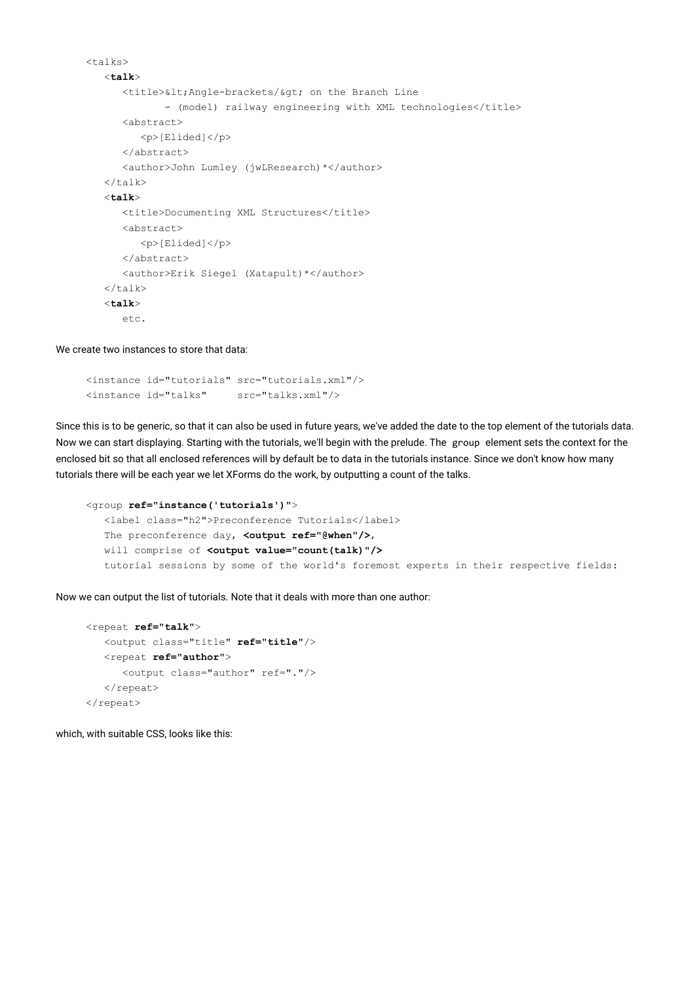```
<talks> 
    <talk>
      <title>&lt; Angle-brackets/&gt; on the Branch Line
              - (model) railway engineering with XML technologies</title>
       <abstract> 
          <p>[Elided]</p> 
       </abstract> 
       <author>John Lumley (jwLResearch)*</author> 
   \langle/talk>
    <talk>
       <title>Documenting XML Structures</title> 
       <abstract> 
          <p>[Elided]</p> 
       </abstract> 
       <author>Erik Siegel (Xatapult)*</author> 
   \langle/talk>
    <talk>
       etc.
```
We create two instances to store that data:

```
<instance id="tutorials" src="tutorials.xml"/> 
<instance id="talks" src="talks.xml"/>
```
Since this is to be generic, so that it can also be used in future years, we've added the date to the top element of the tutorials data. Now we can start displaying. Starting with the tutorials, we'll begin with the prelude. The group element sets the context for the enclosed bit so that all enclosed references will by default be to data in the tutorials instance. Since we don't know how many tutorials there will be each year we let XForms do the work, by outputting a count of the talks.

```
<group ref="instance('tutorials')">
   <label class="h2">Preconference Tutorials</label> 
  The preconference day, <output ref="@when"/>,
  will comprise of <output value="count(talk)"/>
   tutorial sessions by some of the world's foremost experts in their respective fields:
```
Now we can output the list of tutorials. Note that it deals with more than one author:

```
<repeat ref="talk">
    <output class="title" ref="title"/>
    <repeat ref="author">
       <output class="author" ref="."/> 
   </repeat>
\langle/repeat>
```
which, with suitable CSS, looks like this: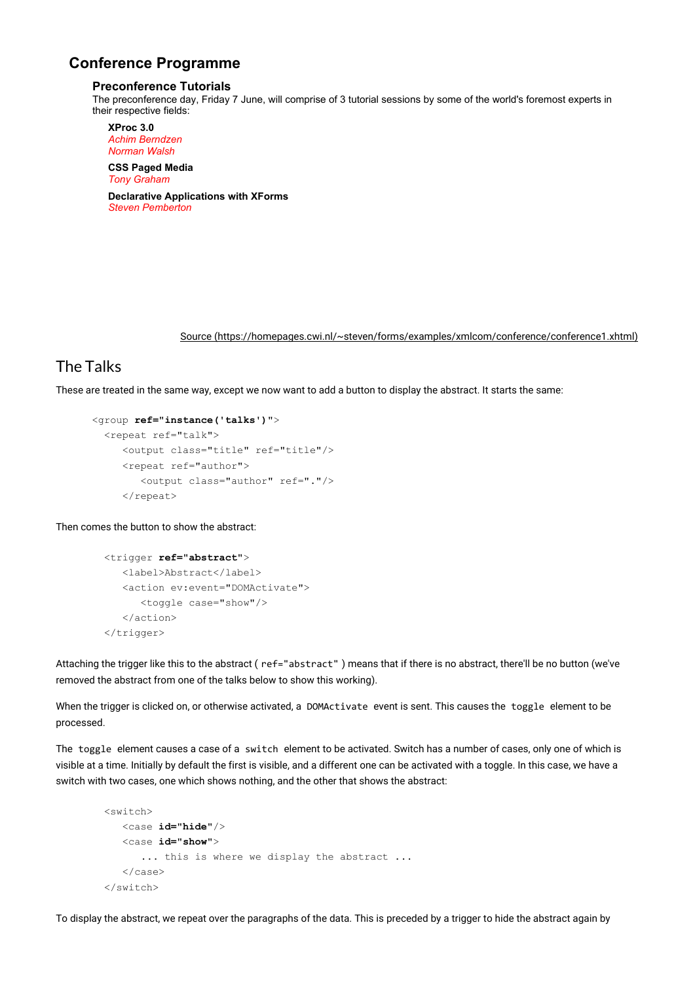### **Conference Programme**

#### **Preconference Tutorials**

The preconference day, Friday 7 June, will comprise of 3 tutorial sessions by some of the world's foremost experts in their respective fields:

**XProc 3.0** *Achim Berndzen Norman Walsh*

**CSS Paged Media** *Tony Graham* **Declarative Applications with XForms** *Steven Pemberton*

Source (https://homepages.cwi.nl/~steven/forms/examples/xmlcom/conference/conference1.xhtml)

## The Talks

These are treated in the same way, except we now want to add a button to display the abstract. It starts the same:

```
 <group ref="instance('talks')">
   <repeat ref="talk"> 
      <output class="title" ref="title"/> 
      <repeat ref="author"> 
         <output class="author" ref="."/> 
     </repeat>
```
Then comes the button to show the abstract:

```
 <trigger ref="abstract">
    <label>Abstract</label> 
    <action ev:event="DOMActivate"> 
       <toggle case="show"/> 
    </action> 
 </trigger>
```
Attaching the trigger like this to the abstract ( ref="abstract" ) means that if there is no abstract, there'll be no button (we've removed the abstract from one of the talks below to show this working).

When the trigger is clicked on, or otherwise activated, a DOMActivate event is sent. This causes the toggle element to be processed.

The toggle element causes a case of a switch element to be activated. Switch has a number of cases, only one of which is visible at a time. Initially by default the first is visible, and a different one can be activated with a toggle. In this case, we have a switch with two cases, one which shows nothing, and the other that shows the abstract:

```
 <switch> 
    <case id="hide"/>
    <case id="show">
       ... this is where we display the abstract ... 
    </case> 
 </switch>
```
To display the abstract, we repeat over the paragraphs of the data. This is preceded by a trigger to hide the abstract again by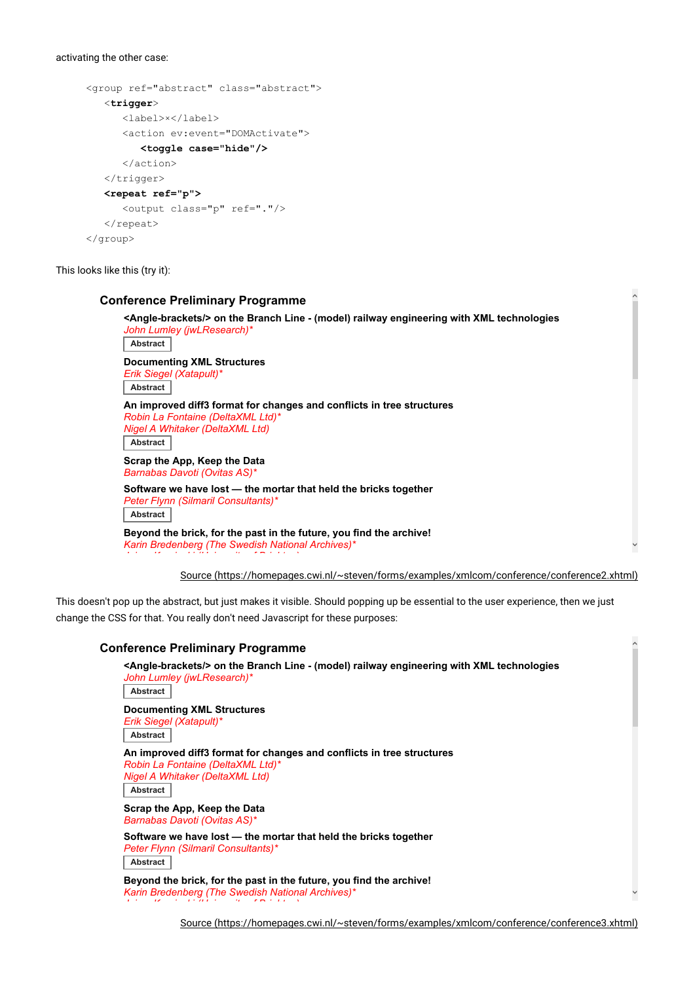#### activating the other case:

```
<group ref="abstract" class="abstract"> 
    <trigger>
       <label>×</label> 
       <action ev:event="DOMActivate"> 
         <toggle case="hide"/>
       </action> 
    </trigger> 
   <repeat ref="p">
       <output class="p" ref="."/> 
   \langle/repeat>
</group>
```
This looks like this (try it):

| John Lumley (jwLResearch)*                                                              | <angle-brackets></angle-brackets> on the Branch Line - (model) railway engineering with XML technologies |
|-----------------------------------------------------------------------------------------|----------------------------------------------------------------------------------------------------------|
| <b>Abstract</b>                                                                         |                                                                                                          |
| <b>Documenting XML Structures</b><br>Erik Siegel (Xatapult)*                            |                                                                                                          |
| Abstract                                                                                |                                                                                                          |
| Robin La Fontaine (DeltaXML Ltd)*<br>Nigel A Whitaker (DeltaXML Ltd)<br><b>Abstract</b> | An improved diff3 format for changes and conflicts in tree structures                                    |
| Scrap the App, Keep the Data<br>Barnabas Davoti (Ovitas AS)*                            |                                                                                                          |
| Peter Flynn (Silmaril Consultants)*<br><b>Abstract</b>                                  | Software we have lost — the mortar that held the bricks together                                         |
|                                                                                         | Beyond the brick, for the past in the future, you find the archive!                                      |

Source (https://homepages.cwi.nl/~steven/forms/examples/xmlcom/conference/conference2.xhtml)

 $\widehat{\phantom{a}}$ 

 $\checkmark$ 

This doesn't pop up the abstract, but just makes it visible. Should popping up be essential to the user experience, then we just change the CSS for that. You really don't need Javascript for these purposes:

#### **Conference Preliminary Programme**

*J i K i ki (U i it f B i ht )*

**<Angle-brackets/> on the Branch Line - (model) railway engineering with XML technologies** *John Lumley (jwLResearch)\** **Abstract Documenting XML Structures** *Erik Siegel (Xatapult)\** **Abstract An improved diff3 format for changes and conflicts in tree structures** *Robin La Fontaine (DeltaXML Ltd)\* Nigel A Whitaker (DeltaXML Ltd)* **Abstract Scrap the App, Keep the Data** *Barnabas Davoti (Ovitas AS)\** **Software we have lost — the mortar that held the bricks together** *Peter Flynn (Silmaril Consultants)\** **Abstract**

**Beyond the brick, for the past in the future, you find the archive!** *Karin Bredenberg (The Swedish National Archives)\**

Source (https://homepages.cwi.nl/~steven/forms/examples/xmlcom/conference/conference3.xhtml)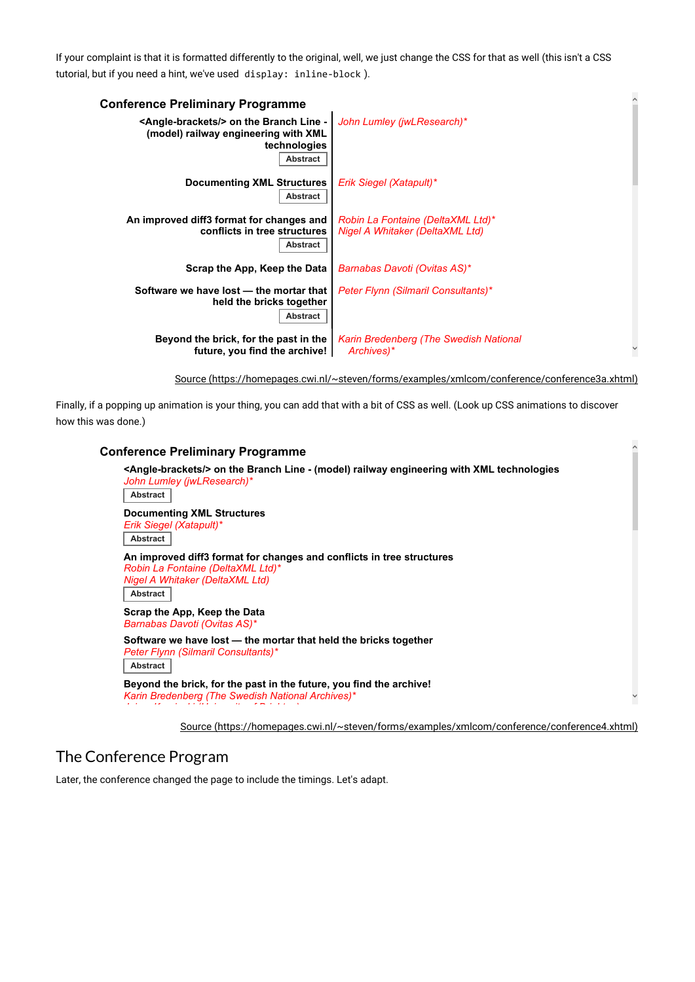If your complaint is that it is formatted differently to the original, well, we just change the CSS for that as well (this isn't a CSS tutorial, but if you need a hint, we've used display: inline-block ).

| <b>Conference Preliminary Programme</b>                                                                                           |                                                                      |  |
|-----------------------------------------------------------------------------------------------------------------------------------|----------------------------------------------------------------------|--|
| <angle-brackets></angle-brackets> on the Branch Line -<br>(model) railway engineering with XML<br>technologies<br><b>Abstract</b> | John Lumley (jwLResearch)*                                           |  |
| <b>Documenting XML Structures</b><br>Abstract                                                                                     | Erik Siegel (Xatapult)*                                              |  |
| An improved diff3 format for changes and<br>conflicts in tree structures<br>Abstract                                              | Robin La Fontaine (DeltaXML Ltd)*<br>Nigel A Whitaker (DeltaXML Ltd) |  |
| Scrap the App, Keep the Data                                                                                                      | Barnabas Davoti (Ovitas AS)*                                         |  |
| Software we have lost - the mortar that<br>held the bricks together<br>Abstract                                                   | <b>Peter Flynn (Silmaril Consultants)*</b>                           |  |
| Beyond the brick, for the past in the<br>future, you find the archive!                                                            | Karin Bredenberg (The Swedish National<br>Archives)*                 |  |

Source (https://homepages.cwi.nl/~steven/forms/examples/xmlcom/conference/conference3a.xhtml)

 $\widehat{\phantom{a}}$ 

 $\checkmark$ 

Finally, if a popping up animation is your thing, you can add that with a bit of CSS as well. (Look up CSS animations to discover how this was done.)

### **Conference Preliminary Programme <Angle-brackets/> on the Branch Line - (model) railway engineering with XML technologies** *John Lumley (jwLResearch)\** **Abstract Documenting XML Structures** *Erik Siegel (Xatapult)\** **Abstract An improved diff3 format for changes and conflicts in tree structures** *Robin La Fontaine (DeltaXML Ltd)\* Nigel A Whitaker (DeltaXML Ltd)* **Abstract Scrap the App, Keep the Data** *Barnabas Davoti (Ovitas AS)\** **Software we have lost — the mortar that held the bricks together** *Peter Flynn (Silmaril Consultants)\** **Abstract Beyond the brick, for the past in the future, you find the archive!** *Karin Bredenberg (The Swedish National Archives)\* J i K i ki (U i it f B i ht )* Source (https://homepages.cwi.nl/~steven/forms/examples/xmlcom/conference/conference4.xhtml)

## The Conference Program

Later, the conference changed the page to include the timings. Let's adapt.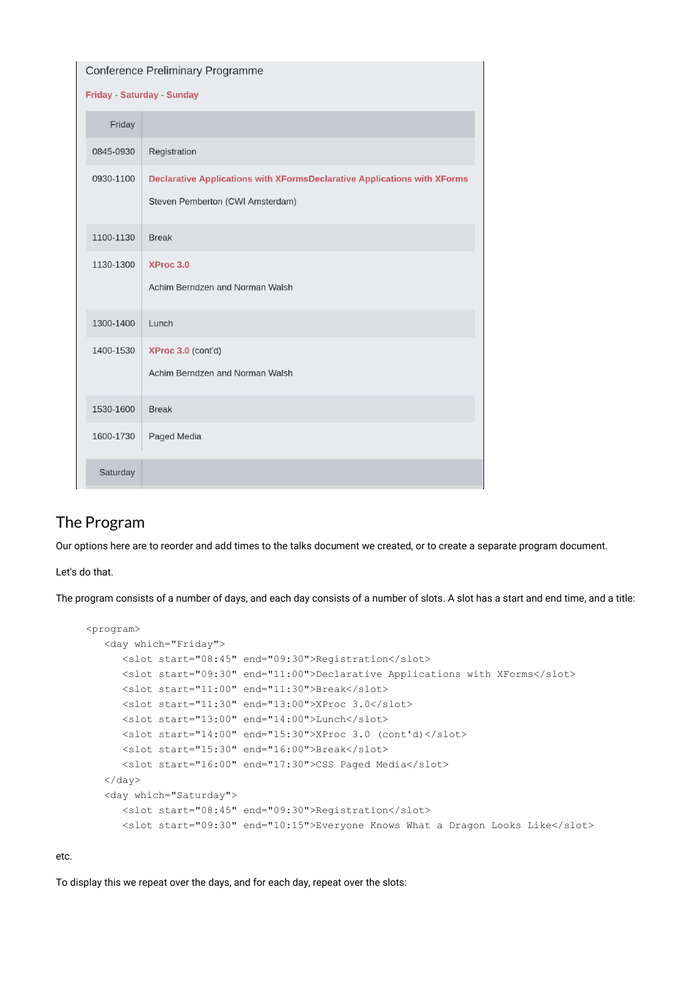|                            | Conference Preliminary Programme                                                                                    |  |  |
|----------------------------|---------------------------------------------------------------------------------------------------------------------|--|--|
| Friday - Saturday - Sunday |                                                                                                                     |  |  |
| Friday                     |                                                                                                                     |  |  |
| 0845-0930                  | Registration                                                                                                        |  |  |
| 0930-1100                  | <b>Declarative Applications with XFormsDeclarative Applications with XForms</b><br>Steven Pemberton (CWI Amsterdam) |  |  |
| 1100-1130                  | <b>Break</b>                                                                                                        |  |  |
| 1130-1300                  | XProc 3.0<br>Achim Berndzen and Norman Walsh                                                                        |  |  |
| 1300-1400                  | Lunch                                                                                                               |  |  |
| 1400-1530                  | XProc 3.0 (cont'd)<br>Achim Berndzen and Norman Walsh                                                               |  |  |
| 1530-1600                  | <b>Break</b>                                                                                                        |  |  |
| 1600-1730                  | Paged Media                                                                                                         |  |  |
| Saturday                   |                                                                                                                     |  |  |

## The Program

Our options here are to reorder and add times to the talks document we created, or to create a separate program document.

Let's do that.

The program consists of a number of days, and each day consists of a number of slots. A slot has a start and end time, and a title:

```
<program> 
    <day which="Friday"> 
      <slot start="08:45" end="09:30">Registration</slot> 
      <slot start="09:30" end="11:00">Declarative Applications with XForms</slot> 
      <slot start="11:00" end="11:30">Break</slot> 
      <slot start="11:30" end="13:00">XProc 3.0</slot> 
      <slot start="13:00" end="14:00">Lunch</slot> 
      <slot start="14:00" end="15:30">XProc 3.0 (cont'd)</slot> 
      <slot start="15:30" end="16:00">Break</slot> 
       <slot start="16:00" end="17:30">CSS Paged Media</slot> 
   \langle day>
    <day which="Saturday"> 
      <slot start="08:45" end="09:30">Registration</slot> 
       <slot start="09:30" end="10:15">Everyone Knows What a Dragon Looks Like</slot>
```
etc.

To display this we repeat over the days, and for each day, repeat over the slots: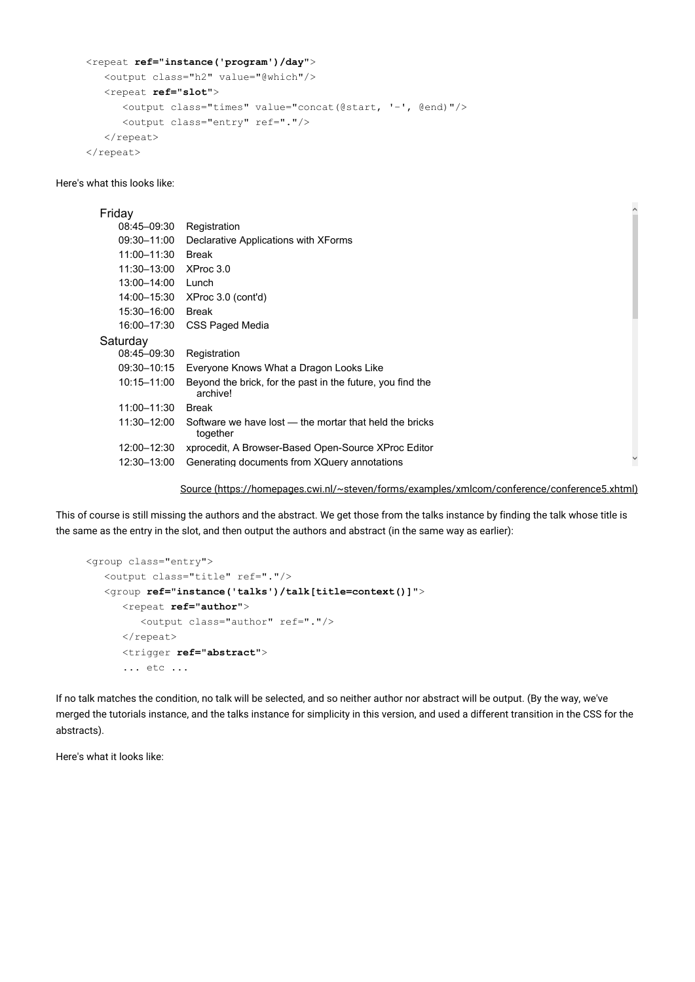```
<repeat ref="instance('program')/day">
```

```
 <output class="h2" value="@which"/> 
    <repeat ref="slot">
       <output class="times" value="concat(@start, '–', @end)"/> 
       <output class="entry" ref="."/> 
   </repeat>
\langle / repeat>
```
Here's what this looks like:

### Friday

| 08:45-09:30 | Registration                                                           |              |
|-------------|------------------------------------------------------------------------|--------------|
| 09:30-11:00 | Declarative Applications with XForms                                   |              |
| 11:00-11:30 | <b>Break</b>                                                           |              |
| 11:30-13:00 | XProc 3.0                                                              |              |
| 13:00-14:00 | Lunch                                                                  |              |
| 14:00-15:30 | XProc 3.0 (cont'd)                                                     |              |
| 15:30-16:00 | <b>Break</b>                                                           |              |
| 16:00-17:30 | CSS Paged Media                                                        |              |
| Saturday    |                                                                        |              |
| 08:45-09:30 | Registration                                                           |              |
| 09:30-10:15 | Everyone Knows What a Dragon Looks Like                                |              |
| 10:15-11:00 | Beyond the brick, for the past in the future, you find the<br>archive! |              |
| 11:00-11:30 | <b>Break</b>                                                           |              |
| 11:30-12:00 | Software we have lost — the mortar that held the bricks<br>together    |              |
| 12:00-12:30 | xprocedit, A Browser-Based Open-Source XProc Editor                    |              |
| 12:30-13:00 | Generating documents from XQuery annotations                           | $\checkmark$ |
|             |                                                                        |              |

Source (https://homepages.cwi.nl/~steven/forms/examples/xmlcom/conference/conference5.xhtml)

 $\widehat{\phantom{a}}$ 

This of course is still missing the authors and the abstract. We get those from the talks instance by finding the talk whose title is the same as the entry in the slot, and then output the authors and abstract (in the same way as earlier):

```
<group class="entry"> 
    <output class="title" ref="."/> 
    <group ref="instance('talks')/talk[title=context()]">
       <repeat ref="author">
          <output class="author" ref="."/> 
       </repeat> 
       <trigger ref="abstract">
       ... etc ...
```
If no talk matches the condition, no talk will be selected, and so neither author nor abstract will be output. (By the way, we've merged the tutorials instance, and the talks instance for simplicity in this version, and used a different transition in the CSS for the abstracts).

Here's what it looks like: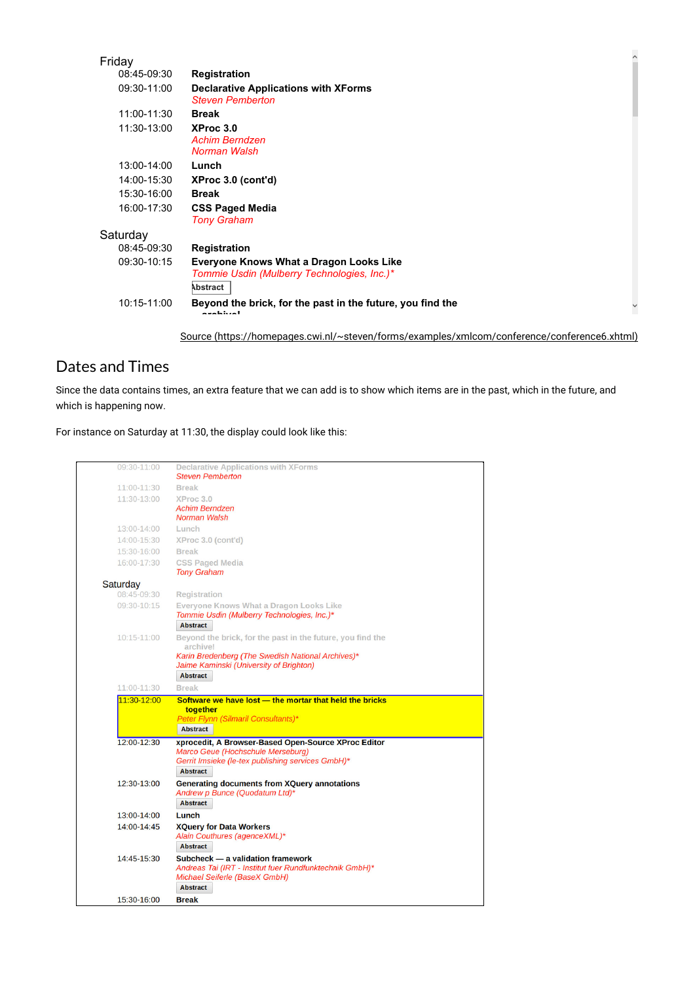| Friday      |                                                                                                           |  |
|-------------|-----------------------------------------------------------------------------------------------------------|--|
| 08:45-09:30 | Registration                                                                                              |  |
| 09:30-11:00 | <b>Declarative Applications with XForms</b><br><b>Steven Pemberton</b>                                    |  |
| 11:00-11:30 | <b>Break</b>                                                                                              |  |
| 11:30-13:00 | XProc 3.0<br><b>Achim Berndzen</b><br>Norman Walsh                                                        |  |
| 13:00-14:00 | Lunch                                                                                                     |  |
| 14:00-15:30 | XProc 3.0 (cont'd)                                                                                        |  |
| 15:30-16:00 | <b>Break</b>                                                                                              |  |
| 16:00-17:30 | <b>CSS Paged Media</b><br><b>Tony Graham</b>                                                              |  |
| Saturday    |                                                                                                           |  |
| 08:45-09:30 | Registration                                                                                              |  |
| 09:30-10:15 | <b>Everyone Knows What a Dragon Looks Like</b><br>Tommie Usdin (Mulberry Technologies, Inc.)*<br>Abstract |  |
| 10:15-11:00 | Beyond the brick, for the past in the future, you find the<br>axahiyal                                    |  |

Source (https://homepages.cwi.nl/~steven/forms/examples/xmlcom/conference/conference6.xhtml)

## Dates and Times

Since the data contains times, an extra feature that we can add is to show which items are in the past, which in the future, and which is happening now.

For instance on Saturday at 11:30, the display could look like this:

| 09:30-11:00 | <b>Declarative Applications with XForms</b><br><b>Steven Pemberton</b>                                                                                           |
|-------------|------------------------------------------------------------------------------------------------------------------------------------------------------------------|
| 11:00-11:30 | <b>Break</b>                                                                                                                                                     |
| 11:30-13:00 | XProc 3.0<br><b>Achim Berndzen</b><br>Norman Walsh                                                                                                               |
| 13:00-14:00 | Lunch                                                                                                                                                            |
| 14:00-15:30 | XProc 3.0 (cont'd)                                                                                                                                               |
| 15:30-16:00 | <b>Break</b>                                                                                                                                                     |
| 16:00-17:30 | <b>CSS Paged Media</b><br><b>Tony Graham</b>                                                                                                                     |
| Saturday    |                                                                                                                                                                  |
| 08:45-09:30 | Registration                                                                                                                                                     |
| 09:30-10:15 | Everyone Knows What a Dragon Looks Like<br>Tommie Usdin (Mulberry Technologies, Inc.)*<br><b>Abstract</b>                                                        |
| 10:15-11:00 | Beyond the brick, for the past in the future, you find the<br>archive!<br>Karin Bredenberg (The Swedish National Archives)*                                      |
|             | Jaime Kaminski (University of Brighton)<br><b>Abstract</b>                                                                                                       |
| 11:00-11:30 | <b>Break</b>                                                                                                                                                     |
| 11:30-12:00 | Software we have lost - the mortar that held the bricks                                                                                                          |
|             | together<br>Peter Flynn (Silmaril Consultants)*<br><b>Abstract</b>                                                                                               |
| 12:00-12:30 | xprocedit, A Browser-Based Open-Source XProc Editor<br>Marco Geue (Hochschule Merseburg)<br>Gerrit Imsieke (le-tex publishing services GmbH)*<br><b>Abstract</b> |
| 12:30-13:00 | <b>Generating documents from XQuery annotations</b><br>Andrew p Bunce (Quodatum Ltd)*<br><b>Abstract</b>                                                         |
| 13:00-14:00 | Lunch                                                                                                                                                            |
| 14:00-14:45 | <b>XQuery for Data Workers</b><br>Alain Couthures (agenceXML)*<br><b>Abstract</b>                                                                                |
| 14:45-15:30 | Subcheck - a validation framework<br>Andreas Tai (IRT - Institut fuer Rundfunktechnik GmbH)*                                                                     |
|             | Michael Seiferle (BaseX GmbH)<br><b>Abstract</b>                                                                                                                 |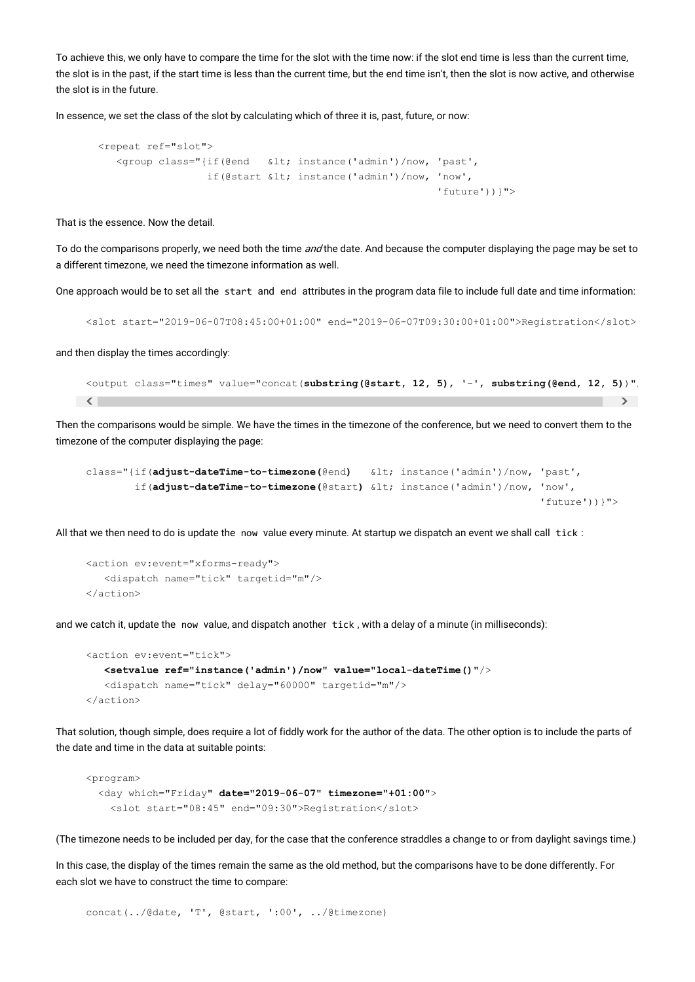To achieve this, we only have to compare the time for the slot with the time now: if the slot end time is less than the current time, the slot is in the past, if the start time is less than the current time, but the end time isn't, then the slot is now active, and otherwise the slot is in the future.

In essence, we set the class of the slot by calculating which of three it is, past, future, or now:

```
 <repeat ref="slot"> 
   <group class="{if(@end &lt; instance('admin')/now, 'past',
                 if(@start < instance('admin')/now, 'now',
                                                         'future'))}">
```
That is the essence. Now the detail.

To do the comparisons properly, we need both the time and the date. And because the computer displaying the page may be set to a different timezone, we need the timezone information as well.

One approach would be to set all the start and end attributes in the program data file to include full date and time information:

<slot start="2019-06-07T08:45:00+01:00" end="2019-06-07T09:30:00+01:00">Registration</slot>

and then display the times accordingly:

```
\langle , and the contract of the contract of the contract of the contract of \langle<output class="times" value="concat(substring(@start, 12, 5), '–', substring(@end, 12, 5))"/
```
Then the comparisons would be simple. We have the times in the timezone of the conference, but we need to convert them to the timezone of the computer displaying the page:

```
class="{if(adjust-dateTime-to-timezone(@end) < instance('admin')/now, 'past', 
         if(adjust-dateTime-to-timezone(@start) < instance('admin')/now, 'now', 
                                                                           'future'))}">
```
All that we then need to do is update the now value every minute. At startup we dispatch an event we shall call tick :

```
<action ev:event="xforms-ready"> 
    <dispatch name="tick" targetid="m"/> 
</action>
```
and we catch it, update the now value, and dispatch another tick , with a delay of a minute (in milliseconds):

```
<action ev:event="tick"> 
   <setvalue ref="instance('admin')/now" value="local-dateTime()"/>
    <dispatch name="tick" delay="60000" targetid="m"/> 
</action>
```
That solution, though simple, does require a lot of fiddly work for the author of the data. The other option is to include the parts of the date and time in the data at suitable points:

```
<program> 
  <day which="Friday" date="2019-06-07" timezone="+01:00">
     <slot start="08:45" end="09:30">Registration</slot>
```
(The timezone needs to be included per day, for the case that the conference straddles a change to or from daylight savings time.)

In this case, the display of the times remain the same as the old method, but the comparisons have to be done differently. For each slot we have to construct the time to compare:

```
concat(../@date, 'T', @start, ':00', ../@timezone)
```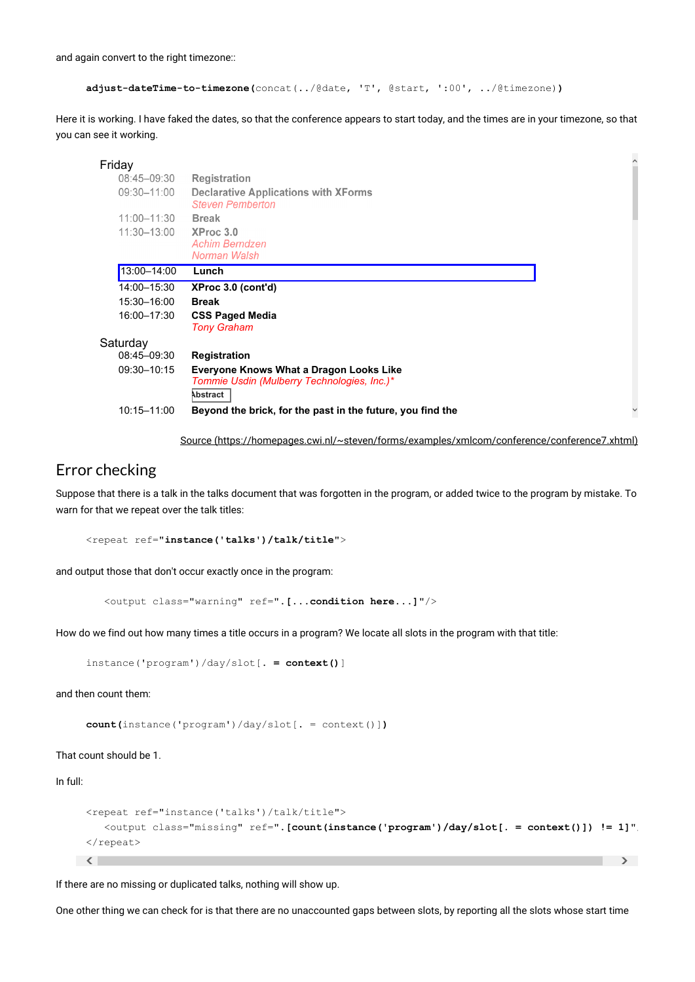and again convert to the right timezone::

```
adjust-dateTime-to-timezone(concat(../@date, 'T', @start, ':00', ../@timezone))
```
Here it is working. I have faked the dates, so that the conference appears to start today, and the times are in your timezone, so that you can see it working.

#### $\widehat{\phantom{a}}$ **Friday**<br>08:45-09:30 Registration 09:30-11:00 **Declarative Applications with XForms Steven Pemberton** 11:00-11:30 **Break** 11:30-13:00 XProc 3.0 **Achim Berndzen** Norman Walsh 13:00–14:00 **Lunch** 14:00–15:30 **XProc 3.0 (cont'd)** 15:30–16:00 **Break** 16:00–17:30 **CSS Paged Media** *Tony Graham* **Saturday** 08:45–09:30 **Registration** 09:30–10:15 **Everyone Knows What a Dragon Looks Like** *Tommie Usdin (Mulberry Technologies, Inc.)\** **Abstract** 10:15–11:00 **Beyond the brick, for the past in the future, you find the**   $\checkmark$

Source (https://homepages.cwi.nl/~steven/forms/examples/xmlcom/conference/conference7.xhtml)

### Error checking

Suppose that there is a talk in the talks document that was forgotten in the program, or added twice to the program by mistake. To warn for that we repeat over the talk titles:

```
<repeat ref="instance('talks')/talk/title">
```
and output those that don't occur exactly once in the program:

<output class="warning" ref="**.[...condition here...]**"/>

How do we find out how many times a title occurs in a program? We locate all slots in the program with that title:

instance('program')/day/slot[**. = context()**]

and then count them:

```
count(instance('program')/day/slot[. = context()])
```
That count should be 1.

In full:

```
\langle , and the contract of the contract of the contract of the contract of \langle<repeat ref="instance('talks')/talk/title"> 
    <output class="missing" ref=".[count(instance('program')/day/slot[. = context()]) != 1]"/
</repeat>
```
If there are no missing or duplicated talks, nothing will show up.

One other thing we can check for is that there are no unaccounted gaps between slots, by reporting all the slots whose start time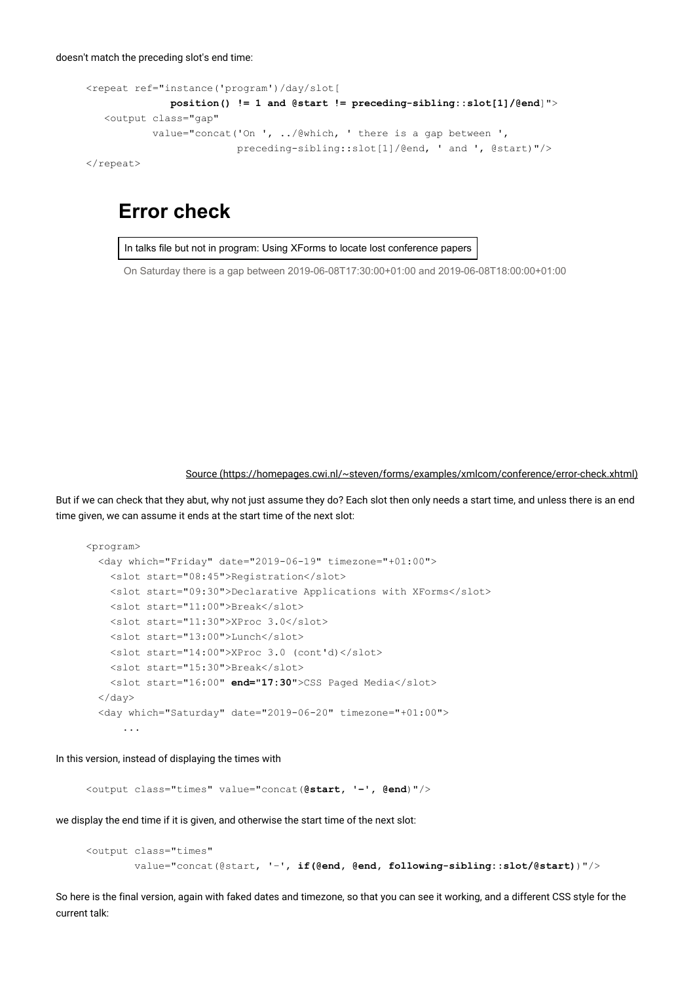```
<repeat ref="instance('program')/day/slot[ 
              position() != 1 and @start != preceding-sibling::slot[1]/@end]">
    <output class="gap" 
           value="concat('On ', ../@which, ' there is a gap between ', 
                          preceding-sibling::slot[1]/@end, ' and ', @start)"/> 
</repeat>
```
# **Error check**

In talks file but not in program: Using XForms to locate lost conference papers

On Saturday there is a gap between 2019-06-08T17:30:00+01:00 and 2019-06-08T18:00:00+01:00

Source (https://homepages.cwi.nl/~steven/forms/examples/xmlcom/conference/error-check.xhtml)

But if we can check that they abut, why not just assume they do? Each slot then only needs a start time, and unless there is an end time given, we can assume it ends at the start time of the next slot:

```
<program> 
   <day which="Friday" date="2019-06-19" timezone="+01:00"> 
     <slot start="08:45">Registration</slot> 
     <slot start="09:30">Declarative Applications with XForms</slot> 
     <slot start="11:00">Break</slot> 
     <slot start="11:30">XProc 3.0</slot> 
     <slot start="13:00">Lunch</slot> 
     <slot start="14:00">XProc 3.0 (cont'd)</slot> 
     <slot start="15:30">Break</slot> 
     <slot start="16:00" end="17:30">CSS Paged Media</slot>
   </day> 
   <day which="Saturday" date="2019-06-20" timezone="+01:00"> 
       ...
```
In this version, instead of displaying the times with

<output class="times" value="concat(**@start, '–', @end**)"/>

we display the end time if it is given, and otherwise the start time of the next slot:

```
<output class="times" 
         value="concat(@start, '–', if(@end, @end, following-sibling::slot/@start))"/>
```
So here is the final version, again with faked dates and timezone, so that you can see it working, and a different CSS style for the current talk: